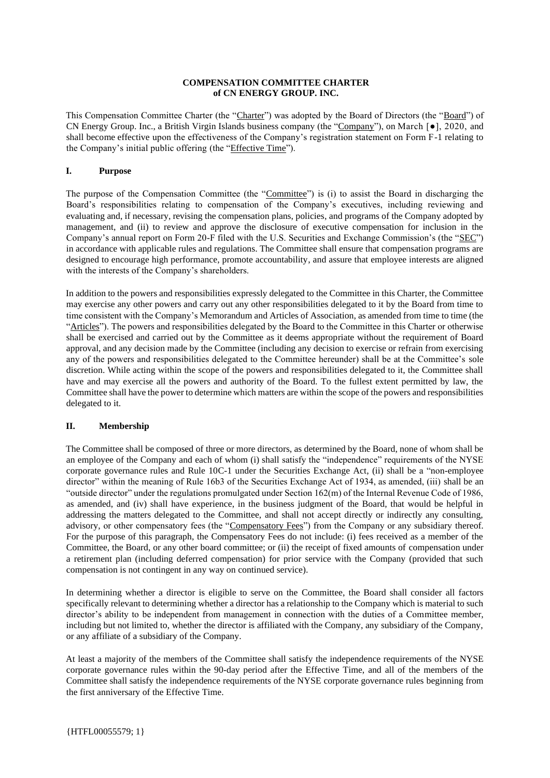#### **COMPENSATION COMMITTEE CHARTER of CN ENERGY GROUP. INC.**

This Compensation Committee Charter (the "Charter") was adopted by the Board of Directors (the "Board") of CN Energy Group. Inc., a British Virgin Islands business company (the "Company"), on March [●], 2020, and shall become effective upon the effectiveness of the Company's registration statement on Form F-1 relating to the Company's initial public offering (the "Effective Time").

# **I. Purpose**

The purpose of the Compensation Committee (the "Committee") is (i) to assist the Board in discharging the Board's responsibilities relating to compensation of the Company's executives, including reviewing and evaluating and, if necessary, revising the compensation plans, policies, and programs of the Company adopted by management, and (ii) to review and approve the disclosure of executive compensation for inclusion in the Company's annual report on Form 20-F filed with the U.S. Securities and Exchange Commission's (the "SEC") in accordance with applicable rules and regulations. The Committee shall ensure that compensation programs are designed to encourage high performance, promote accountability, and assure that employee interests are aligned with the interests of the Company's shareholders.

In addition to the powers and responsibilities expressly delegated to the Committee in this Charter, the Committee may exercise any other powers and carry out any other responsibilities delegated to it by the Board from time to time consistent with the Company's Memorandum and Articles of Association, as amended from time to time (the "Articles"). The powers and responsibilities delegated by the Board to the Committee in this Charter or otherwise shall be exercised and carried out by the Committee as it deems appropriate without the requirement of Board approval, and any decision made by the Committee (including any decision to exercise or refrain from exercising any of the powers and responsibilities delegated to the Committee hereunder) shall be at the Committee's sole discretion. While acting within the scope of the powers and responsibilities delegated to it, the Committee shall have and may exercise all the powers and authority of the Board. To the fullest extent permitted by law, the Committee shall have the power to determine which matters are within the scope of the powers and responsibilities delegated to it.

### **II. Membership**

The Committee shall be composed of three or more directors, as determined by the Board, none of whom shall be an employee of the Company and each of whom (i) shall satisfy the "independence" requirements of the NYSE corporate governance rules and Rule 10C-1 under the Securities Exchange Act, (ii) shall be a "non-employee director" within the meaning of Rule 16b3 of the Securities Exchange Act of 1934, as amended, (iii) shall be an "outside director" under the regulations promulgated under Section 162(m) of the Internal Revenue Code of 1986, as amended, and (iv) shall have experience, in the business judgment of the Board, that would be helpful in addressing the matters delegated to the Committee, and shall not accept directly or indirectly any consulting, advisory, or other compensatory fees (the "Compensatory Fees") from the Company or any subsidiary thereof. For the purpose of this paragraph, the Compensatory Fees do not include: (i) fees received as a member of the Committee, the Board, or any other board committee; or (ii) the receipt of fixed amounts of compensation under a retirement plan (including deferred compensation) for prior service with the Company (provided that such compensation is not contingent in any way on continued service).

In determining whether a director is eligible to serve on the Committee, the Board shall consider all factors specifically relevant to determining whether a director has a relationship to the Company which is material to such director's ability to be independent from management in connection with the duties of a Committee member, including but not limited to, whether the director is affiliated with the Company, any subsidiary of the Company, or any affiliate of a subsidiary of the Company.

At least a majority of the members of the Committee shall satisfy the independence requirements of the NYSE corporate governance rules within the 90-day period after the Effective Time, and all of the members of the Committee shall satisfy the independence requirements of the NYSE corporate governance rules beginning from the first anniversary of the Effective Time.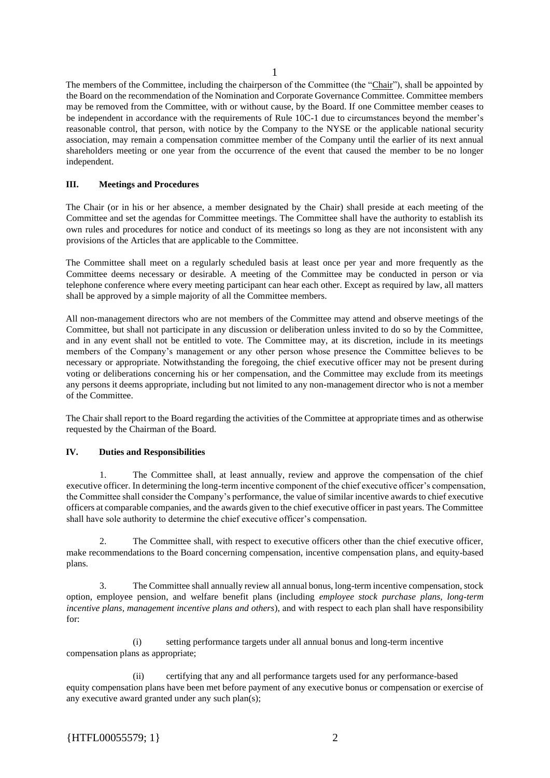The members of the Committee, including the chairperson of the Committee (the "Chair"), shall be appointed by the Board on the recommendation of the Nomination and Corporate Governance Committee. Committee members may be removed from the Committee, with or without cause, by the Board. If one Committee member ceases to be independent in accordance with the requirements of Rule 10C-1 due to circumstances beyond the member's reasonable control, that person, with notice by the Company to the NYSE or the applicable national security association, may remain a compensation committee member of the Company until the earlier of its next annual shareholders meeting or one year from the occurrence of the event that caused the member to be no longer independent.

## **III. Meetings and Procedures**

The Chair (or in his or her absence, a member designated by the Chair) shall preside at each meeting of the Committee and set the agendas for Committee meetings. The Committee shall have the authority to establish its own rules and procedures for notice and conduct of its meetings so long as they are not inconsistent with any provisions of the Articles that are applicable to the Committee.

The Committee shall meet on a regularly scheduled basis at least once per year and more frequently as the Committee deems necessary or desirable. A meeting of the Committee may be conducted in person or via telephone conference where every meeting participant can hear each other. Except as required by law, all matters shall be approved by a simple majority of all the Committee members.

All non-management directors who are not members of the Committee may attend and observe meetings of the Committee, but shall not participate in any discussion or deliberation unless invited to do so by the Committee, and in any event shall not be entitled to vote. The Committee may, at its discretion, include in its meetings members of the Company's management or any other person whose presence the Committee believes to be necessary or appropriate. Notwithstanding the foregoing, the chief executive officer may not be present during voting or deliberations concerning his or her compensation, and the Committee may exclude from its meetings any persons it deems appropriate, including but not limited to any non-management director who is not a member of the Committee.

The Chair shall report to the Board regarding the activities of the Committee at appropriate times and as otherwise requested by the Chairman of the Board.

### **IV. Duties and Responsibilities**

1. The Committee shall, at least annually, review and approve the compensation of the chief executive officer. In determining the long-term incentive component of the chief executive officer's compensation, the Committee shall consider the Company's performance, the value of similar incentive awards to chief executive officers at comparable companies, and the awards given to the chief executive officer in past years. The Committee shall have sole authority to determine the chief executive officer's compensation.

2. The Committee shall, with respect to executive officers other than the chief executive officer, make recommendations to the Board concerning compensation, incentive compensation plans, and equity-based plans.

3. The Committee shall annually review all annual bonus, long-term incentive compensation, stock option, employee pension, and welfare benefit plans (including *employee stock purchase plans, long-term incentive plans, management incentive plans and others*), and with respect to each plan shall have responsibility for:

(i) setting performance targets under all annual bonus and long-term incentive compensation plans as appropriate;

(ii) certifying that any and all performance targets used for any performance-based equity compensation plans have been met before payment of any executive bonus or compensation or exercise of any executive award granted under any such plan(s);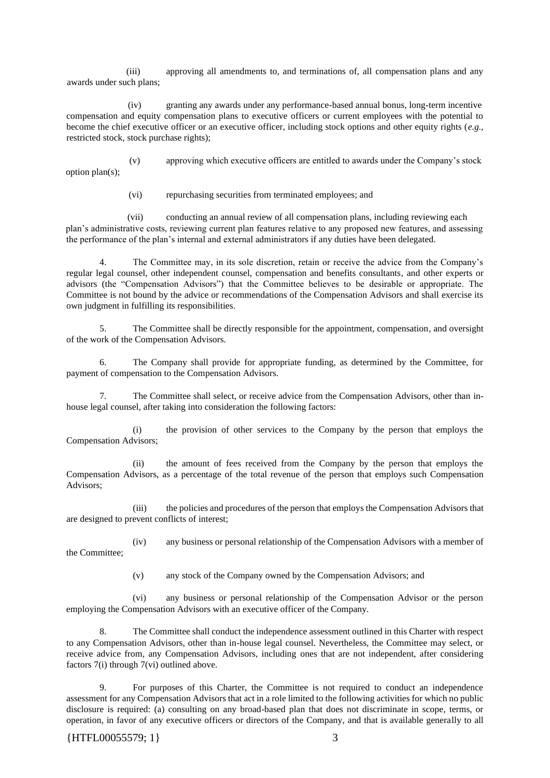(iii) approving all amendments to, and terminations of, all compensation plans and any awards under such plans;

 (iv) granting any awards under any performance-based annual bonus, long-term incentive compensation and equity compensation plans to executive officers or current employees with the potential to become the chief executive officer or an executive officer, including stock options and other equity rights (*e.g.,*  restricted stock, stock purchase rights);

 (v) approving which executive officers are entitled to awards under the Company's stock option plan(s);

(vi) repurchasing securities from terminated employees; and

 (vii) conducting an annual review of all compensation plans, including reviewing each plan's administrative costs, reviewing current plan features relative to any proposed new features, and assessing the performance of the plan's internal and external administrators if any duties have been delegated.

4. The Committee may, in its sole discretion, retain or receive the advice from the Company's regular legal counsel, other independent counsel, compensation and benefits consultants, and other experts or advisors (the "Compensation Advisors") that the Committee believes to be desirable or appropriate. The Committee is not bound by the advice or recommendations of the Compensation Advisors and shall exercise its own judgment in fulfilling its responsibilities.

5. The Committee shall be directly responsible for the appointment, compensation, and oversight of the work of the Compensation Advisors.

6. The Company shall provide for appropriate funding, as determined by the Committee, for payment of compensation to the Compensation Advisors.

7. The Committee shall select, or receive advice from the Compensation Advisors, other than inhouse legal counsel, after taking into consideration the following factors:

(i) the provision of other services to the Company by the person that employs the Compensation Advisors;

(ii) the amount of fees received from the Company by the person that employs the Compensation Advisors, as a percentage of the total revenue of the person that employs such Compensation Advisors;

(iii) the policies and procedures of the person that employs the Compensation Advisors that are designed to prevent conflicts of interest;

(iv) any business or personal relationship of the Compensation Advisors with a member of the Committee;

(v) any stock of the Company owned by the Compensation Advisors; and

(vi) any business or personal relationship of the Compensation Advisor or the person employing the Compensation Advisors with an executive officer of the Company.

8. The Committee shall conduct the independence assessment outlined in this Charter with respect to any Compensation Advisors, other than in-house legal counsel. Nevertheless, the Committee may select, or receive advice from, any Compensation Advisors, including ones that are not independent, after considering factors 7(i) through 7(vi) outlined above.

9. For purposes of this Charter, the Committee is not required to conduct an independence assessment for any Compensation Advisors that act in a role limited to the following activities for which no public disclosure is required: (a) consulting on any broad-based plan that does not discriminate in scope, terms, or operation, in favor of any executive officers or directors of the Company, and that is available generally to all